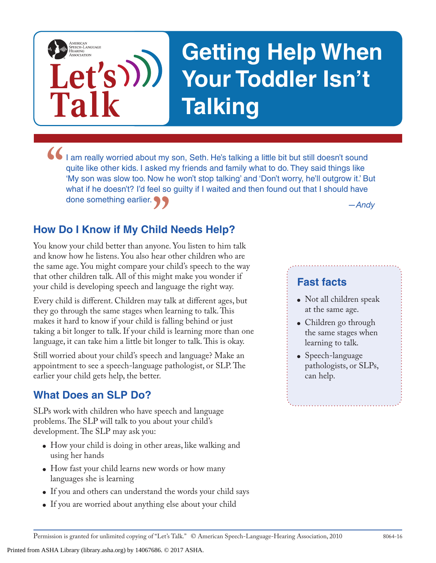

I am really worried about my son, Seth. He's talking a little bit but still doesn't sound quite like other kids. I asked my friends and family what to do. They said things like 'My son was slow too. Now he won't stop talki **17**  $-$  *Andy*<br>**1ild Needs Help?**<br>yone. You listen to him talk quite like other kids. I asked my friends and family what to do. They said things like 'My son was slow too. Now he won't stop talking' and 'Don't worry, he'll outgrow it.' But what if he doesn't? I'd feel so guilty if I waited and then found out that I should have done something earlier.

# **How Do I Know if My Child Needs Help?**

**Let's**

**Talk**

AMERICAN<br>SPEECH-LANGUAGE-<br>HEARING<br>ASSOCIATION

You know your child better than anyone. You listen to him talk and know how he listens. You also hear other children who are the same age. You might compare your child's speech to the way that other children talk. All of this might make you wonder if your child is developing speech and language the right way.

Every child is different. Children may talk at different ages, but they go through the same stages when learning to talk. This makes it hard to know if your child is falling behind or just taking a bit longer to talk. If your child is learning more than one language, it can take him a little bit longer to talk. This is okay.

Still worried about your child's speech and language? Make an appointment to see a speech-language pathologist, or SLP. The earlier your child gets help, the better.

# **What Does an SLP Do?**

SLPs work with children who have speech and language problems. The SLP will talk to you about your child's development. The SLP may ask you:

- How your child is doing in other areas, like walking and using her hands
- How fast your child learns new words or how many languages she is learning
- If you and others can understand the words your child says
- If you are worried about anything else about your child

#### **Fast facts**

- Not all children speak at the same age.
- Children go through the same stages when learning to talk.
- Speech-language pathologists, or SLPs, can help.

Printed from ASHA Library (library.asha.org) by 14067686. © 2017 ASHA.